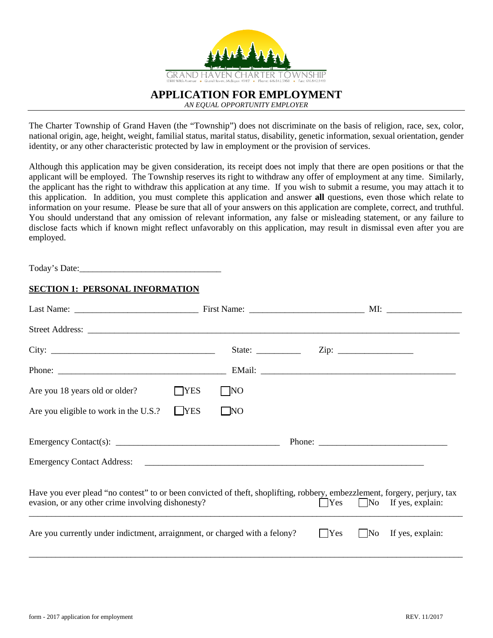

## **APPLICATION FOR EMPLOYMENT**

*AN EQUAL OPPORTUNITY EMPLOYER*

The Charter Township of Grand Haven (the "Township") does not discriminate on the basis of religion, race, sex, color, national origin, age, height, weight, familial status, marital status, disability, genetic information, sexual orientation, gender identity, or any other characteristic protected by law in employment or the provision of services.

Although this application may be given consideration, its receipt does not imply that there are open positions or that the applicant will be employed. The Township reserves its right to withdraw any offer of employment at any time. Similarly, the applicant has the right to withdraw this application at any time. If you wish to submit a resume, you may attach it to this application. In addition, you must complete this application and answer **all** questions, even those which relate to information on your resume. Please be sure that all of your answers on this application are complete, correct, and truthful. You should understand that any omission of relevant information, any false or misleading statement, or any failure to disclose facts which if known might reflect unfavorably on this application, may result in dismissal even after you are employed.

| empioyeu.                                                                                                                                                                      |                         |         |                                    |  |
|--------------------------------------------------------------------------------------------------------------------------------------------------------------------------------|-------------------------|---------|------------------------------------|--|
|                                                                                                                                                                                |                         |         |                                    |  |
| <u>SECTION 1: PERSONAL INFORMATION</u>                                                                                                                                         |                         |         |                                    |  |
|                                                                                                                                                                                |                         |         |                                    |  |
|                                                                                                                                                                                |                         |         |                                    |  |
|                                                                                                                                                                                |                         |         |                                    |  |
|                                                                                                                                                                                |                         |         |                                    |  |
| Are you 18 years old or older?                                                                                                                                                 | $\Box$ YES<br>$\Box$ NO |         |                                    |  |
| Are you eligible to work in the U.S.?                                                                                                                                          | $\Box$ YES<br>$\Box$ NO |         |                                    |  |
| Emergency Contact(s): $\frac{1}{\sqrt{1-\frac{1}{2}}}\left\{1-\frac{1}{2}\right\}$                                                                                             |                         |         |                                    |  |
| Emergency Contact Address: 2008. 2009. 2009. 2010. 2010. 2010. 2010. 2010. 2010. 2010. 2010. 2010. 2010. 2010                                                                  |                         |         |                                    |  |
| Have you ever plead "no contest" to or been convicted of theft, shoplifting, robbery, embezzlement, forgery, perjury, tax<br>evasion, or any other crime involving dishonesty? |                         | Yes     | $\blacksquare$ No If yes, explain: |  |
| Are you currently under indictment, arraignment, or charged with a felony?                                                                                                     |                         | $ $ Yes | If yes, explain:<br>$\mid$ No      |  |
|                                                                                                                                                                                |                         |         |                                    |  |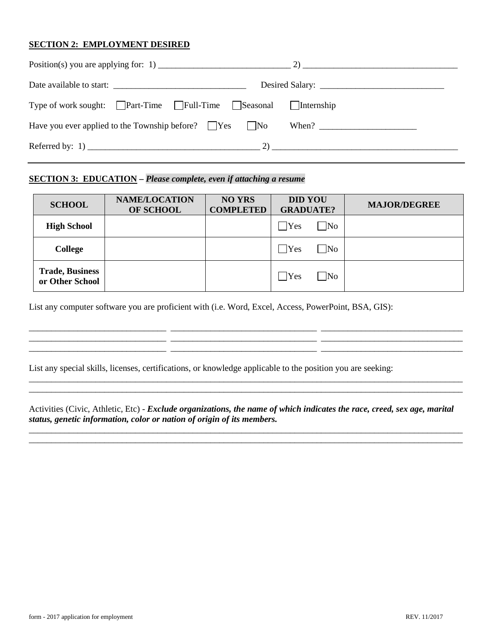#### **SECTION 2: EMPLOYMENT DESIRED**

| Date available to start:                                                           |  |
|------------------------------------------------------------------------------------|--|
| Type of work sought: Part-Time Full-Time Seasonal Internship                       |  |
| Have you ever applied to the Township before? $\Box$ Yes $\Box$ No When? $\Box$ Mo |  |
|                                                                                    |  |

# **SECTION 3: EDUCATION –** *Please complete, even if attaching a resume*

| <b>SCHOOL</b>                             | <b>NAME/LOCATION</b><br>OF SCHOOL | <b>NO YRS</b><br><b>COMPLETED</b> | <b>DID YOU</b><br><b>GRADUATE?</b>   | <b>MAJOR/DEGREE</b> |
|-------------------------------------------|-----------------------------------|-----------------------------------|--------------------------------------|---------------------|
| <b>High School</b>                        |                                   |                                   | Yes<br>$\n  No\n$                    |                     |
| <b>College</b>                            |                                   |                                   | Yes<br>$\overline{\text{No}}$        |                     |
| <b>Trade, Business</b><br>or Other School |                                   |                                   | $\bigcap$ Yes<br>$\overline{\rm No}$ |                     |

\_\_\_\_\_\_\_\_\_\_\_\_\_\_\_\_\_\_\_\_\_\_\_\_\_\_\_\_\_\_\_ \_\_\_\_\_\_\_\_\_\_\_\_\_\_\_\_\_\_\_\_\_\_\_\_\_\_\_\_\_\_\_\_\_ \_\_\_\_\_\_\_\_\_\_\_\_\_\_\_\_\_\_\_\_\_\_\_\_\_\_\_\_\_\_\_\_  $\_$  , and the set of the set of the set of the set of the set of the set of the set of the set of the set of the set of the set of the set of the set of the set of the set of the set of the set of the set of the set of th \_\_\_\_\_\_\_\_\_\_\_\_\_\_\_\_\_\_\_\_\_\_\_\_\_\_\_\_\_\_\_ \_\_\_\_\_\_\_\_\_\_\_\_\_\_\_\_\_\_\_\_\_\_\_\_\_\_\_\_\_\_\_\_\_ \_\_\_\_\_\_\_\_\_\_\_\_\_\_\_\_\_\_\_\_\_\_\_\_\_\_\_\_\_\_\_\_

\_\_\_\_\_\_\_\_\_\_\_\_\_\_\_\_\_\_\_\_\_\_\_\_\_\_\_\_\_\_\_\_\_\_\_\_\_\_\_\_\_\_\_\_\_\_\_\_\_\_\_\_\_\_\_\_\_\_\_\_\_\_\_\_\_\_\_\_\_\_\_\_\_\_\_\_\_\_\_\_\_\_\_\_\_\_\_\_\_\_\_\_\_\_\_\_\_\_ \_\_\_\_\_\_\_\_\_\_\_\_\_\_\_\_\_\_\_\_\_\_\_\_\_\_\_\_\_\_\_\_\_\_\_\_\_\_\_\_\_\_\_\_\_\_\_\_\_\_\_\_\_\_\_\_\_\_\_\_\_\_\_\_\_\_\_\_\_\_\_\_\_\_\_\_\_\_\_\_\_\_\_\_\_\_\_\_\_\_\_\_\_\_\_\_\_\_

List any computer software you are proficient with (i.e. Word, Excel, Access, PowerPoint, BSA, GIS):

List any special skills, licenses, certifications, or knowledge applicable to the position you are seeking:

Activities (Civic, Athletic, Etc) - *Exclude organizations, the name of which indicates the race, creed, sex age, marital status, genetic information, color or nation of origin of its members.* 

\_\_\_\_\_\_\_\_\_\_\_\_\_\_\_\_\_\_\_\_\_\_\_\_\_\_\_\_\_\_\_\_\_\_\_\_\_\_\_\_\_\_\_\_\_\_\_\_\_\_\_\_\_\_\_\_\_\_\_\_\_\_\_\_\_\_\_\_\_\_\_\_\_\_\_\_\_\_\_\_\_\_\_\_\_\_\_\_\_\_\_\_\_\_\_\_\_\_ \_\_\_\_\_\_\_\_\_\_\_\_\_\_\_\_\_\_\_\_\_\_\_\_\_\_\_\_\_\_\_\_\_\_\_\_\_\_\_\_\_\_\_\_\_\_\_\_\_\_\_\_\_\_\_\_\_\_\_\_\_\_\_\_\_\_\_\_\_\_\_\_\_\_\_\_\_\_\_\_\_\_\_\_\_\_\_\_\_\_\_\_\_\_\_\_\_\_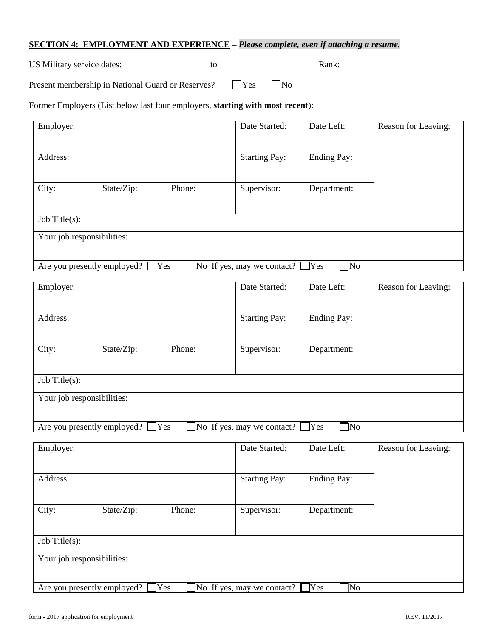### **SECTION 4: EMPLOYMENT AND EXPERIENCE –** *Please complete, even if attaching a resume.*

US Military service dates: \_\_\_\_\_\_\_\_\_\_\_\_\_\_\_\_\_\_ to \_\_\_\_\_\_\_\_\_\_\_\_\_\_\_\_\_\_\_ Rank: \_\_\_\_\_\_\_\_\_\_\_\_\_\_\_\_\_\_\_\_\_\_\_\_

| Present membership in National Guard or Reserves? | $\Box$ Yes | $\Box$ No |
|---------------------------------------------------|------------|-----------|
|---------------------------------------------------|------------|-----------|

Former Employers (List below last four employers, **starting with most recent**):

| Employer:                                                                               |            |                      | Date Started:              | Date Left:         | Reason for Leaving: |
|-----------------------------------------------------------------------------------------|------------|----------------------|----------------------------|--------------------|---------------------|
| Address:                                                                                |            | <b>Starting Pay:</b> | <b>Ending Pay:</b>         |                    |                     |
| City:                                                                                   | State/Zip: | Phone:               | Supervisor:                | Department:        |                     |
| Job Title(s):                                                                           |            |                      |                            |                    |                     |
| Your job responsibilities:                                                              |            |                      |                            |                    |                     |
| Are you presently employed?                                                             | Yes        |                      | No If yes, may we contact? | $\gamma$<br>No     |                     |
| Employer:                                                                               |            |                      | Date Started:              | Date Left:         | Reason for Leaving: |
| Address:                                                                                |            |                      | <b>Starting Pay:</b>       | <b>Ending Pay:</b> |                     |
| City:                                                                                   | State/Zip: | Phone:               | Supervisor:                | Department:        |                     |
| Job Title(s):                                                                           |            |                      |                            |                    |                     |
| Your job responsibilities:                                                              |            |                      |                            |                    |                     |
| Are you presently employed?                                                             | Yes        |                      | No If yes, may we contact? | Yes<br>No          |                     |
| Employer:                                                                               |            |                      | Date Started:              | Date Left:         | Reason for Leaving: |
| Address:                                                                                |            |                      | Starting Pay:              | <b>Ending Pay:</b> |                     |
| City:                                                                                   | State/Zip: | Phone:               | Supervisor:                | Department:        |                     |
| Job Title(s):                                                                           |            |                      |                            |                    |                     |
| Your job responsibilities:                                                              |            |                      |                            |                    |                     |
| Are you presently employed?<br>Yes<br>$\gamma$ res<br>]No<br>No If yes, may we contact? |            |                      |                            |                    |                     |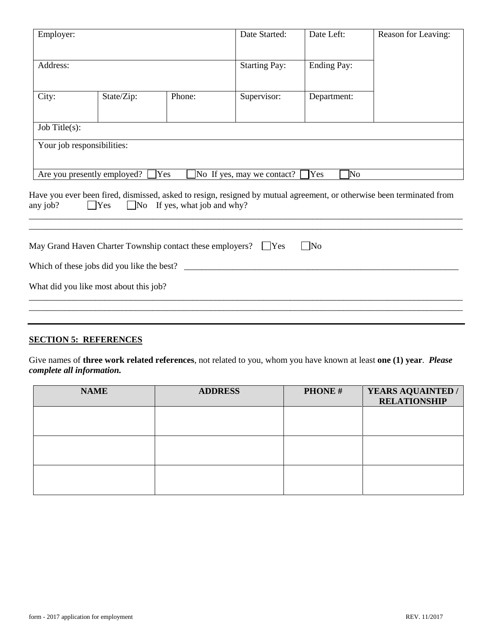| Employer:                  |                                                               |                                     | Date Started:              | Date Left:         | Reason for Leaving:                                                                                                   |
|----------------------------|---------------------------------------------------------------|-------------------------------------|----------------------------|--------------------|-----------------------------------------------------------------------------------------------------------------------|
| Address:                   |                                                               |                                     | <b>Starting Pay:</b>       | <b>Ending Pay:</b> |                                                                                                                       |
| City:                      | State/Zip:                                                    | Phone:                              | Supervisor:                | Department:        |                                                                                                                       |
| Job Title(s):              |                                                               |                                     |                            |                    |                                                                                                                       |
| Your job responsibilities: |                                                               |                                     |                            |                    |                                                                                                                       |
|                            | Are you presently employed?                                   | Yes                                 | No If yes, may we contact? | <b>Yes</b><br>No.  |                                                                                                                       |
| any job?                   | $ $ Yes                                                       | $\Box$ No If yes, what job and why? |                            |                    | Have you ever been fired, dismissed, asked to resign, resigned by mutual agreement, or otherwise been terminated from |
|                            |                                                               |                                     |                            |                    |                                                                                                                       |
|                            | May Grand Haven Charter Township contact these employers? Yes |                                     |                            | $\Box$ No          |                                                                                                                       |
|                            | Which of these jobs did you like the best?                    |                                     |                            |                    |                                                                                                                       |
|                            | What did you like most about this job?                        |                                     |                            |                    |                                                                                                                       |
|                            |                                                               |                                     |                            |                    |                                                                                                                       |

# **SECTION 5: REFERENCES**

Give names of **three work related references**, not related to you, whom you have known at least **one (1) year**. *Please complete all information.*

| <b>NAME</b> | <b>ADDRESS</b> | <b>PHONE#</b> | YEARS AQUAINTED /<br><b>RELATIONSHIP</b> |
|-------------|----------------|---------------|------------------------------------------|
|             |                |               |                                          |
|             |                |               |                                          |
|             |                |               |                                          |
|             |                |               |                                          |
|             |                |               |                                          |